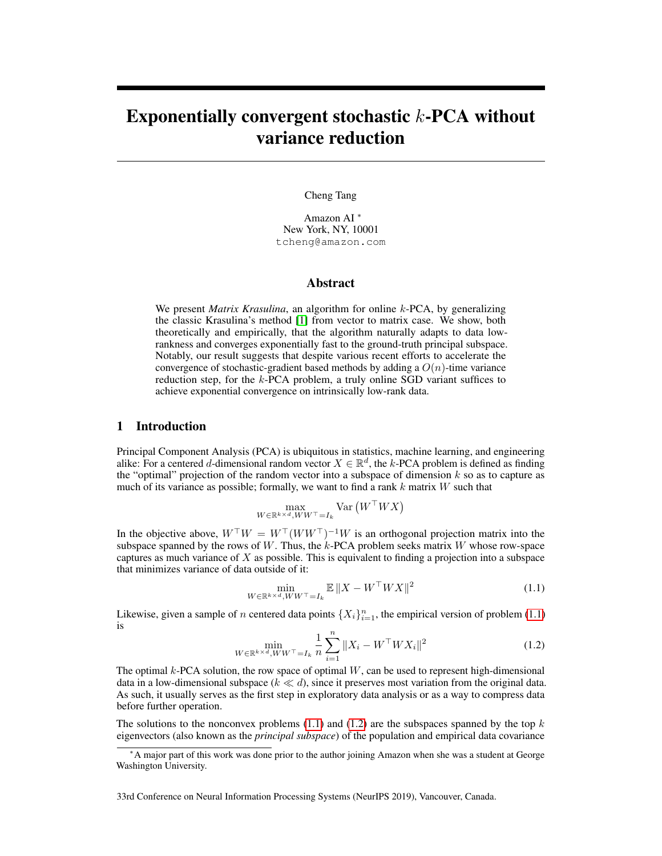# <span id="page-0-2"></span>Exponentially convergent stochastic  $k$ -PCA without variance reduction

Cheng Tang

Amazon AI <sup>∗</sup> New York, NY, 10001 tcheng@amazon.com

## Abstract

We present *Matrix Krasulina*, an algorithm for online k-PCA, by generalizing the classic Krasulina's method [\[1\]](#page-9-0) from vector to matrix case. We show, both theoretically and empirically, that the algorithm naturally adapts to data lowrankness and converges exponentially fast to the ground-truth principal subspace. Notably, our result suggests that despite various recent efforts to accelerate the convergence of stochastic-gradient based methods by adding a  $O(n)$ -time variance reduction step, for the k-PCA problem, a truly online SGD variant suffices to achieve exponential convergence on intrinsically low-rank data.

## 1 Introduction

Principal Component Analysis (PCA) is ubiquitous in statistics, machine learning, and engineering alike: For a centered d-dimensional random vector  $X \in \mathbb{R}^d$ , the k-PCA problem is defined as finding the "optimal" projection of the random vector into a subspace of dimension  $k$  so as to capture as much of its variance as possible; formally, we want to find a rank  $k$  matrix  $W$  such that

$$
\max_{W \in \mathbb{R}^{k \times d}, WW^\top = I_k} \text{Var}\left(W^\top W X\right)
$$

In the objective above,  $W^{\top}W = W^{\top}(WW^{\top})^{-1}W$  is an orthogonal projection matrix into the subspace spanned by the rows of  $W$ . Thus, the  $k$ -PCA problem seeks matrix  $W$  whose row-space captures as much variance of  $X$  as possible. This is equivalent to finding a projection into a subspace that minimizes variance of data outside of it:

<span id="page-0-0"></span>
$$
\min_{W \in \mathbb{R}^{k \times d}, WW^\top = I_k} \mathbb{E} \|X - W^\top W X\|^2 \tag{1.1}
$$

<span id="page-0-1"></span>Likewise, given a sample of *n* centered data points  $\{X_i\}_{i=1}^n$ , the empirical version of problem [\(1.1\)](#page-0-0) is

$$
\min_{W \in \mathbb{R}^{k \times d}, WW^{\top} = I_k} \frac{1}{n} \sum_{i=1}^n \|X_i - W^{\top} W X_i\|^2
$$
\n(1.2)

The optimal  $k$ -PCA solution, the row space of optimal  $W$ , can be used to represent high-dimensional data in a low-dimensional subspace  $(k \ll d)$ , since it preserves most variation from the original data. As such, it usually serves as the first step in exploratory data analysis or as a way to compress data before further operation.

The solutions to the nonconvex problems  $(1.1)$  and  $(1.2)$  are the subspaces spanned by the top k eigenvectors (also known as the *principal subspace*) of the population and empirical data covariance

33rd Conference on Neural Information Processing Systems (NeurIPS 2019), Vancouver, Canada.

<sup>∗</sup>A major part of this work was done prior to the author joining Amazon when she was a student at George Washington University.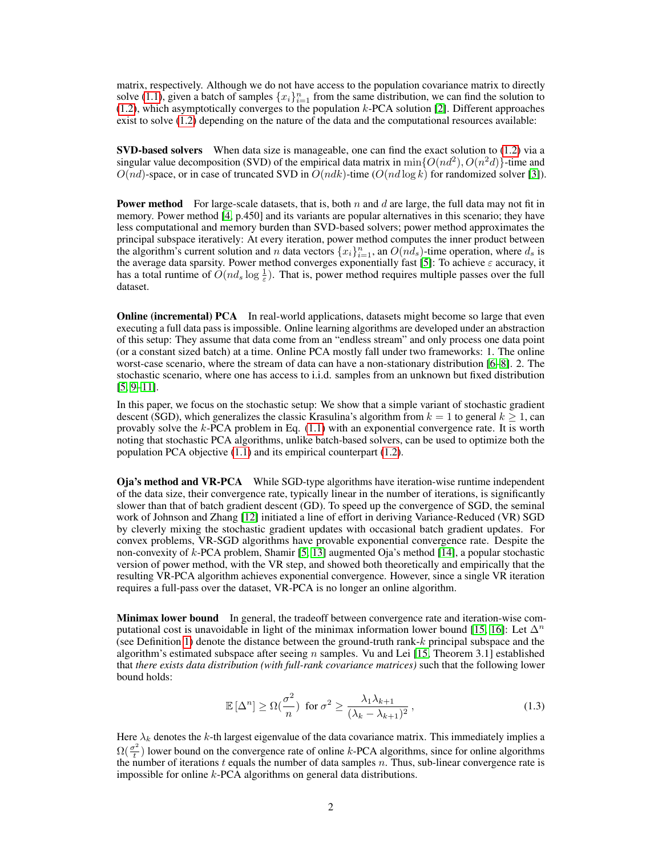matrix, respectively. Although we do not have access to the population covariance matrix to directly solve [\(1.1\)](#page-0-0), given a batch of samples  $\{x_i\}_{i=1}^n$  from the same distribution, we can find the solution to [\(1.2\)](#page-0-1), which asymptotically converges to the population k-PCA solution [\[2\]](#page-9-1). Different approaches exist to solve [\(1.2\)](#page-0-1) depending on the nature of the data and the computational resources available:

SVD-based solvers When data size is manageable, one can find the exact solution to [\(1.2\)](#page-0-1) via a singular value decomposition (SVD) of the empirical data matrix in  $\min\{O(nd^2), O(n^2d)\}$ -time and  $O(nd)$ -space, or in case of truncated SVD in  $O(ndk)$ -time  $(O(nd \log k)$  for randomized solver [\[3\]](#page-9-2)).

**Power method** For large-scale datasets, that is, both n and d are large, the full data may not fit in memory. Power method [\[4,](#page-9-3) p.450] and its variants are popular alternatives in this scenario; they have less computational and memory burden than SVD-based solvers; power method approximates the principal subspace iteratively: At every iteration, power method computes the inner product between the algorithm's current solution and n data vectors  $\{x_i\}_{i=1}^n$ , an  $O(n_d)$ -time operation, where  $d_s$  is the average data sparsity. Power method converges exponentially fast [\[5\]](#page-9-4): To achieve  $\varepsilon$  accuracy, it has a total runtime of  $O(nd_s \log \frac{1}{\varepsilon})$ . That is, power method requires multiple passes over the full dataset.

**Online (incremental) PCA** In real-world applications, datasets might become so large that even executing a full data pass is impossible. Online learning algorithms are developed under an abstraction of this setup: They assume that data come from an "endless stream" and only process one data point (or a constant sized batch) at a time. Online PCA mostly fall under two frameworks: 1. The online worst-case scenario, where the stream of data can have a non-stationary distribution [\[6](#page-9-5)[–8\]](#page-9-6). 2. The stochastic scenario, where one has access to i.i.d. samples from an unknown but fixed distribution  $[5, 9-11]$  $[5, 9-11]$  $[5, 9-11]$ .

In this paper, we focus on the stochastic setup: We show that a simple variant of stochastic gradient descent (SGD), which generalizes the classic Krasulina's algorithm from  $k = 1$  to general  $k \ge 1$ , can provably solve the k-PCA problem in Eq. [\(1.1\)](#page-0-0) with an exponential convergence rate. It is worth noting that stochastic PCA algorithms, unlike batch-based solvers, can be used to optimize both the population PCA objective [\(1.1\)](#page-0-0) and its empirical counterpart [\(1.2\)](#page-0-1).

Oja's method and VR-PCA While SGD-type algorithms have iteration-wise runtime independent of the data size, their convergence rate, typically linear in the number of iterations, is significantly slower than that of batch gradient descent (GD). To speed up the convergence of SGD, the seminal work of Johnson and Zhang [\[12\]](#page-10-0) initiated a line of effort in deriving Variance-Reduced (VR) SGD by cleverly mixing the stochastic gradient updates with occasional batch gradient updates. For convex problems, VR-SGD algorithms have provable exponential convergence rate. Despite the non-convexity of k-PCA problem, Shamir [\[5,](#page-9-4) [13\]](#page-10-1) augmented Oja's method [\[14\]](#page-10-2), a popular stochastic version of power method, with the VR step, and showed both theoretically and empirically that the resulting VR-PCA algorithm achieves exponential convergence. However, since a single VR iteration requires a full-pass over the dataset, VR-PCA is no longer an online algorithm.

**Minimax lower bound** In general, the tradeoff between convergence rate and iteration-wise com-putational cost is unavoidable in light of the minimax information lower bound [\[15,](#page-10-3) [16\]](#page-10-4): Let  $\Delta^n$ (see Definition [1\)](#page-5-0) denote the distance between the ground-truth rank- $k$  principal subspace and the algorithm's estimated subspace after seeing  $n$  samples. Vu and Lei [\[15,](#page-10-3) Theorem 3.1] established that *there exists data distribution (with full-rank covariance matrices)* such that the following lower bound holds:

<span id="page-1-0"></span>
$$
\mathbb{E}\left[\Delta^n\right] \ge \Omega\left(\frac{\sigma^2}{n}\right) \text{ for } \sigma^2 \ge \frac{\lambda_1 \lambda_{k+1}}{(\lambda_k - \lambda_{k+1})^2},\tag{1.3}
$$

Here  $\lambda_k$  denotes the k-th largest eigenvalue of the data covariance matrix. This immediately implies a  $\Omega(\frac{\sigma^2}{4}$  $t_{\overline{t}}(t)$  lower bound on the convergence rate of online k-PCA algorithms, since for online algorithms the number of iterations  $t$  equals the number of data samples  $n$ . Thus, sub-linear convergence rate is impossible for online k-PCA algorithms on general data distributions.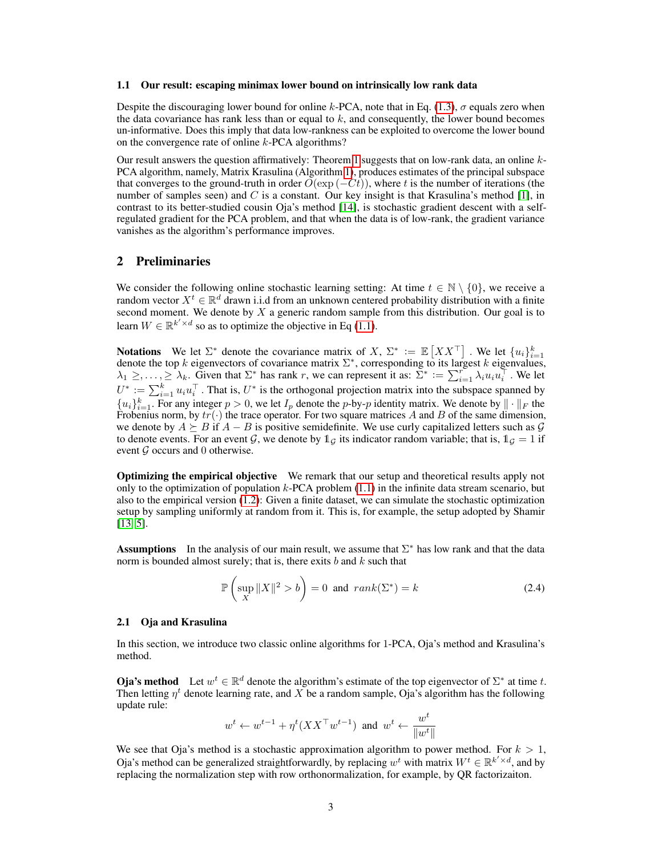#### 1.1 Our result: escaping minimax lower bound on intrinsically low rank data

Despite the discouraging lower bound for online k-PCA, note that in Eq. [\(1.3\)](#page-1-0),  $\sigma$  equals zero when the data covariance has rank less than or equal to  $k$ , and consequently, the lower bound becomes un-informative. Does this imply that data low-rankness can be exploited to overcome the lower bound on the convergence rate of online k-PCA algorithms?

Our result answers the question affirmatively: Theorem [1](#page-5-1) suggests that on low-rank data, an online  $k$ -PCA algorithm, namely, Matrix Krasulina (Algorithm [1\)](#page-4-0), produces estimates of the principal subspace that converges to the ground-truth in order  $\tilde{O}(\exp(-Ct))$ , where t is the number of iterations (the number of samples seen) and C is a constant. Our key insight is that Krasulina's method [\[1\]](#page-9-0), in contrast to its better-studied cousin Oja's method [\[14\]](#page-10-2), is stochastic gradient descent with a selfregulated gradient for the PCA problem, and that when the data is of low-rank, the gradient variance vanishes as the algorithm's performance improves.

## 2 Preliminaries

We consider the following online stochastic learning setting: At time  $t \in \mathbb{N} \setminus \{0\}$ , we receive a random vector  $X^t \in \mathbb{R}^d$  drawn i.i.d from an unknown centered probability distribution with a finite second moment. We denote by  $X$  a generic random sample from this distribution. Our goal is to learn  $W \in \mathbb{R}^{k' \times d}$  so as to optimize the objective in Eq [\(1.1\)](#page-0-0).

**Notations** We let  $\Sigma^*$  denote the covariance matrix of X,  $\Sigma^* := \mathbb{E}[XX^\top]$ . We let  $\{u_i\}_{i=1}^k$ denote the top k eigenvectors of covariance matrix  $\Sigma^*$ , corresponding to its largest k eigenvalues,  $\lambda_1 \geq, \ldots, \geq \lambda_k$ . Given that  $\Sigma^*$  has rank r, we can represent it as:  $\Sigma^* := \sum_{i=1}^r \lambda_i u_i u_i^{\top}$ . We let  $U^* := \sum_{i=1}^k u_i u_i^\top$ . That is,  $U^*$  is the orthogonal projection matrix into the subspace spanned by  ${u_i}_{i=1}^k$ . For any integer  $p > 0$ , we let  $I_p$  denote the p-by-p identity matrix. We denote by  $\|\cdot\|_F$  the Frobenius norm, by  $tr(\cdot)$  the trace operator. For two square matrices A and B of the same dimension, we denote by  $A \succeq B$  if  $A - B$  is positive semidefinite. We use curly capitalized letters such as G to denote events. For an event G, we denote by  $\mathbb{1}_G$  its indicator random variable; that is,  $\mathbb{1}_G = 1$  if event  $G$  occurs and 0 otherwise.

Optimizing the empirical objective We remark that our setup and theoretical results apply not only to the optimization of population  $k$ -PCA problem  $(1.1)$  in the infinite data stream scenario, but also to the empirical version [\(1.2\)](#page-0-1): Given a finite dataset, we can simulate the stochastic optimization setup by sampling uniformly at random from it. This is, for example, the setup adopted by Shamir [\[13,](#page-10-1) [5\]](#page-9-4).

Assumptions In the analysis of our main result, we assume that  $\Sigma^*$  has low rank and that the data norm is bounded almost surely; that is, there exits  $b$  and  $k$  such that

<span id="page-2-0"></span>
$$
\mathbb{P}\left(\sup_{X} \|X\|^2 > b\right) = 0 \text{ and } rank(\Sigma^*) = k \tag{2.4}
$$

#### 2.1 Oja and Krasulina

In this section, we introduce two classic online algorithms for 1-PCA, Oja's method and Krasulina's method.

**Oja's method** Let  $w^t \in \mathbb{R}^d$  denote the algorithm's estimate of the top eigenvector of  $\Sigma^*$  at time t. Then letting  $\eta^t$  denote learning rate, and X be a random sample, Oja's algorithm has the following update rule:

$$
w^t \leftarrow w^{t-1} + \eta^t (XX^\top w^{t-1}) \text{ and } w^t \leftarrow \frac{w^t}{\|w^t\|}
$$

We see that Oja's method is a stochastic approximation algorithm to power method. For  $k > 1$ , Oja's method can be generalized straightforwardly, by replacing  $w^t$  with matrix  $W^t \in \mathbb{R}^{k' \times d}$ , and by replacing the normalization step with row orthonormalization, for example, by QR factorizaiton.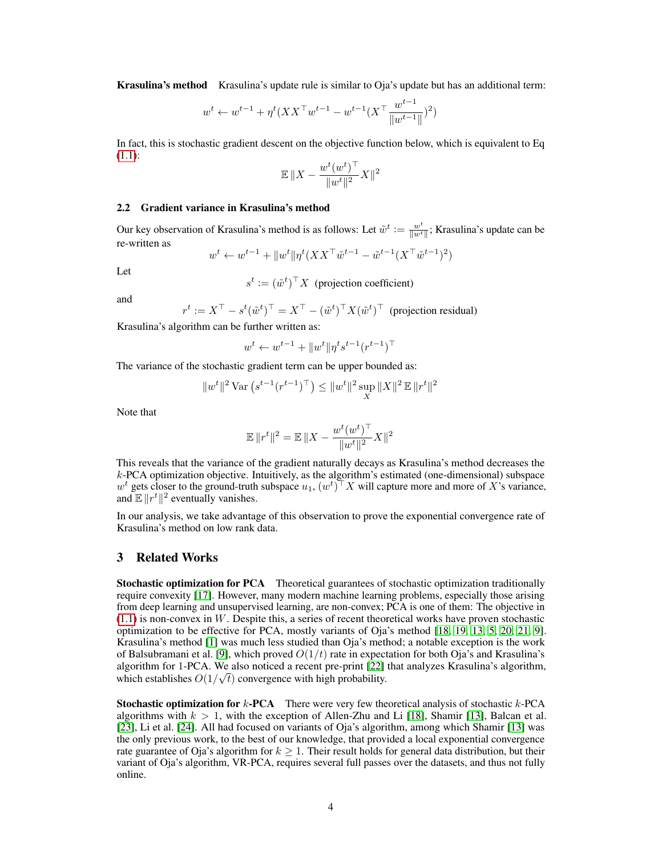**Krasulina's method** Krasulina's update rule is similar to Oja's update but has an additional term:

$$
w^{t} \leftarrow w^{t-1} + \eta^{t} (XX^{\top} w^{t-1} - w^{t-1} (X^{\top} \frac{w^{t-1}}{\|w^{t-1}\|})^{2})
$$

In fact, this is stochastic gradient descent on the objective function below, which is equivalent to Eq [\(1.1\)](#page-0-0):

$$
\mathbb{E} \, \|X - \frac{w^t (w^t)^\top}{\|w^t\|^2} X\|^2
$$

#### 2.2 Gradient variance in Krasulina's method

Our key observation of Krasulina's method is as follows: Let  $\tilde{w}^t := \frac{w^t}{\|w\|^t}$  $\frac{w^v}{\|w^t\|}$ ; Krasulina's update can be re-written as

$$
w^{t} \leftarrow w^{t-1} + ||w^{t}||\eta^{t}(XX^{\top}\tilde{w}^{t-1} - \tilde{w}^{t-1}(X^{\top}\tilde{w}^{t-1})^{2})
$$

Let

 $s^t := (\tilde{w}^t)^\top X$  (projection coefficient)

and

 $r^t := X^\top - s^t(\tilde{w}^t)^\top = X^\top - (\tilde{w}^t)^\top X(\tilde{w}^t)^\top$  (projection residual)

Krasulina's algorithm can be further written as:

$$
w^t \leftarrow w^{t-1} + \|w^t\|\eta^t s^{t-1}(r^{t-1})^\top
$$

The variance of the stochastic gradient term can be upper bounded as:

$$
||w^t||^2 \operatorname{Var}\left(s^{t-1} (r^{t-1})^\top\right) \le ||w^t||^2 \sup_X ||X||^2 \operatorname{\mathbb{E}} ||r^t||^2
$$

Note that

$$
\mathbb{E} \|r^t\|^2 = \mathbb{E} \|X - \frac{w^t (w^t)^\top}{\|w^t\|^2} X\|^2
$$

This reveals that the variance of the gradient naturally decays as Krasulina's method decreases the k-PCA optimization objective. Intuitively, as the algorithm's estimated (one-dimensional) subspace  $w^t$  gets closer to the ground-truth subspace  $u_1, (w^t)^\top X$  will capture more and more of X's variance, and  $\mathbb{E} \|r^t\|^2$  eventually vanishes.

In our analysis, we take advantage of this observation to prove the exponential convergence rate of Krasulina's method on low rank data.

## 3 Related Works

Stochastic optimization for PCA Theoretical guarantees of stochastic optimization traditionally require convexity [\[17\]](#page-10-5). However, many modern machine learning problems, especially those arising from deep learning and unsupervised learning, are non-convex; PCA is one of them: The objective in  $(1.1)$  is non-convex in W. Despite this, a series of recent theoretical works have proven stochastic optimization to be effective for PCA, mostly variants of Oja's method [\[18,](#page-10-6) [19,](#page-10-7) [13,](#page-10-1) [5,](#page-9-4) [20,](#page-10-8) [21,](#page-10-9) [9\]](#page-9-7). Krasulina's method [\[1\]](#page-9-0) was much less studied than Oja's method; a notable exception is the work of Balsubramani et al. [\[9\]](#page-9-7), which proved  $O(1/t)$  rate in expectation for both Oja's and Krasulina's algorithm for 1-PCA. We also noticed a recent pre-print [\[22\]](#page-10-10) that analyzes Krasulina's algorithm, which establishes  $O(1/\sqrt{t})$  convergence with high probability.

**Stochastic optimization for k-PCA** There were very few theoretical analysis of stochastic  $k$ -PCA algorithms with  $k > 1$ , with the exception of Allen-Zhu and Li [\[18\]](#page-10-6), Shamir [\[13\]](#page-10-1), Balcan et al. [\[23\]](#page-10-11), Li et al. [\[24\]](#page-10-12). All had focused on variants of Oja's algorithm, among which Shamir [\[13\]](#page-10-1) was the only previous work, to the best of our knowledge, that provided a local exponential convergence rate guarantee of Oja's algorithm for  $k \geq 1$ . Their result holds for general data distribution, but their variant of Oja's algorithm, VR-PCA, requires several full passes over the datasets, and thus not fully online.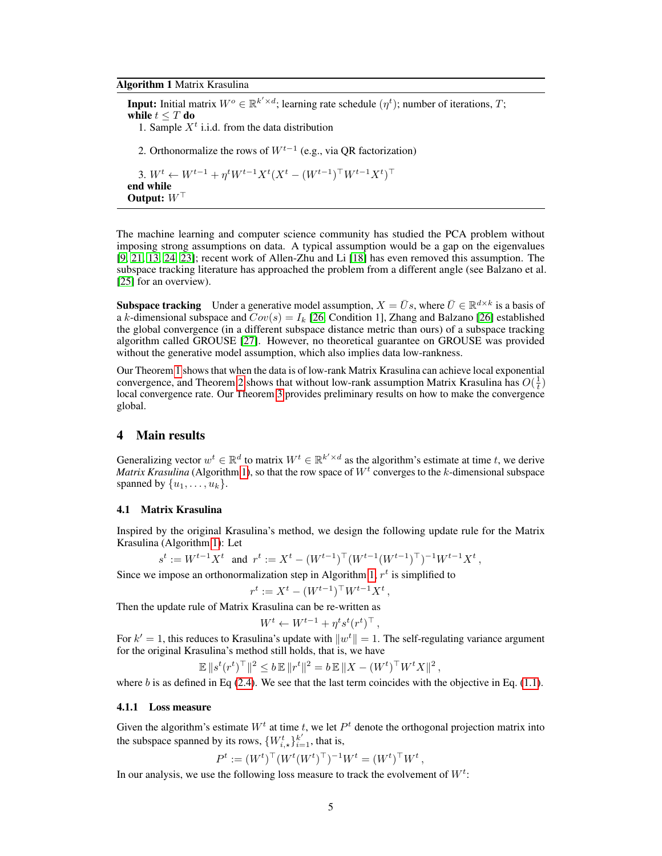#### <span id="page-4-0"></span>Algorithm 1 Matrix Krasulina

**Input:** Initial matrix  $W^o \in \mathbb{R}^{k' \times d}$ ; learning rate schedule  $(\eta^t)$ ; number of iterations, T; while  $t \leq T$  do 1. Sample  $X<sup>t</sup>$  i.i.d. from the data distribution 2. Orthonormalize the rows of  $W^{t-1}$  (e.g., via QR factorization) 3.  $W^t \leftarrow W^{t-1} + \eta^t W^{t-1} X^t (X^t - (W^{t-1})^\top W^{t-1} X^t)^\top$ end while Output:  $W^{\top}$ 

The machine learning and computer science community has studied the PCA problem without imposing strong assumptions on data. A typical assumption would be a gap on the eigenvalues [\[9,](#page-9-7) [21,](#page-10-9) [13,](#page-10-1) [24,](#page-10-12) [23\]](#page-10-11); recent work of Allen-Zhu and Li [\[18\]](#page-10-6) has even removed this assumption. The subspace tracking literature has approached the problem from a different angle (see Balzano et al. [\[25\]](#page-10-13) for an overview).

**Subspace tracking** Under a generative model assumption,  $X = \bar{U}s$ , where  $\bar{U} \in \mathbb{R}^{d \times k}$  is a basis of a k-dimensional subspace and  $Cov(s) = I_k$  [\[26,](#page-11-0) Condition 1], Zhang and Balzano [\[26\]](#page-11-0) established the global convergence (in a different subspace distance metric than ours) of a subspace tracking algorithm called GROUSE [\[27\]](#page-11-1). However, no theoretical guarantee on GROUSE was provided without the generative model assumption, which also implies data low-rankness.

Our Theorem [1](#page-5-1) shows that when the data is of low-rank Matrix Krasulina can achieve local exponential convergence, and Theorem [2](#page-6-0) shows that without low-rank assumption Matrix Krasulina has  $O(\frac{1}{t})$ local convergence rate. Our Theorem [3](#page-6-1) provides preliminary results on how to make the convergence global.

# 4 Main results

Generalizing vector  $w^t \in \mathbb{R}^d$  to matrix  $W^t \in \mathbb{R}^{k' \times d}$  as the algorithm's estimate at time t, we derive *Matrix Krasulina* (Algorithm [1\)](#page-4-0), so that the row space of  $W<sup>t</sup>$  converges to the k-dimensional subspace spanned by  $\{u_1, \ldots, u_k\}.$ 

## 4.1 Matrix Krasulina

Inspired by the original Krasulina's method, we design the following update rule for the Matrix Krasulina (Algorithm [1\)](#page-4-0): Let

$$
s^t:=W^{t-1}X^t\ \ \text{ and }\ r^t:=X^t-(W^{t-1})^\top(W^{t-1}(W^{t-1})^\top)^{-1}W^{t-1}X^t\,,
$$

Since we impose an orthonormalization step in Algorithm [1,](#page-4-0)  $r<sup>t</sup>$  is simplified to

$$
r^t:=X^t-(W^{t-1})^\top W^{t-1}X^t\,,
$$

Then the update rule of Matrix Krasulina can be re-written as

$$
W^t \leftarrow W^{t-1} + \eta^t s^t (r^t)^\top,
$$

For  $k' = 1$ , this reduces to Krasulina's update with  $||w^t|| = 1$ . The self-regulating variance argument for the original Krasulina's method still holds, that is, we have

$$
\mathbb{E} \|s^t (r^t)^\top\|^2 \leq b \, \mathbb{E} \|r^t\|^2 = b \, \mathbb{E} \|X - (W^t)^\top W^t X\|^2 \,,
$$

where  $b$  is as defined in Eq [\(2.4\)](#page-2-0). We see that the last term coincides with the objective in Eq. [\(1.1\)](#page-0-0).

#### 4.1.1 Loss measure

Given the algorithm's estimate  $W<sup>t</sup>$  at time t, we let  $P<sup>t</sup>$  denote the orthogonal projection matrix into the subspace spanned by its rows,  $\{W_{i,\star}^{t}\}_{i=1}^{k'}$ , that is,

$$
P^t := (W^t)^\top (W^t (W^t)^\top)^{-1} W^t = (W^t)^\top W^t,
$$

In our analysis, we use the following loss measure to track the evolvement of  $W^t$ :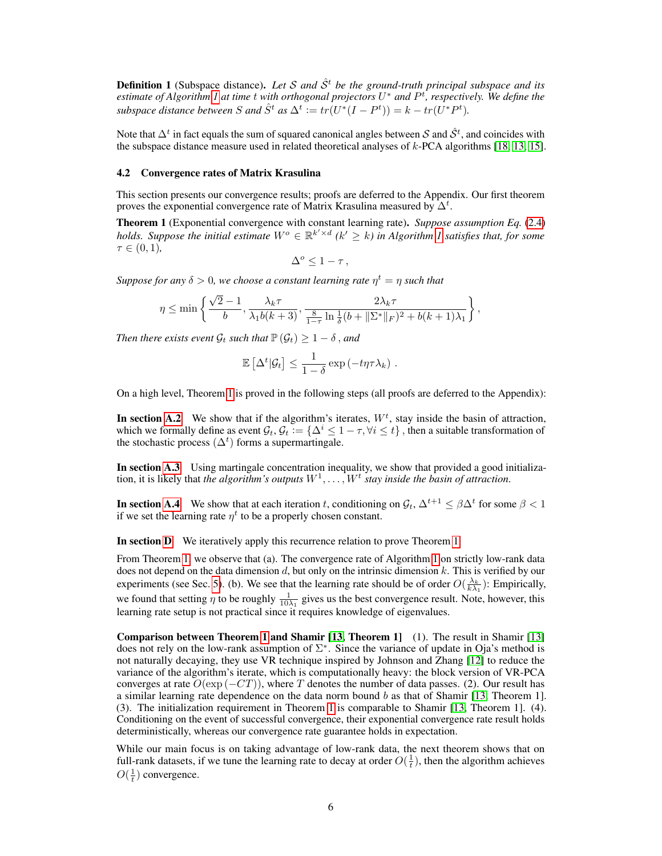<span id="page-5-0"></span>**Definition 1** (Subspace distance). Let S and  $\hat{S}^t$  be the ground-truth principal subspace and its *estimate of Algorithm [1](#page-4-0) at time* t *with orthogonal projectors* U <sup>∗</sup> *and* P t *, respectively. We define the subspace distance between* S and  $\hat{S}^t$  as  $\Delta^t := tr(U^*(I - P^t)) = k - tr(U^*P^t)$ .

Note that  $\Delta^t$  in fact equals the sum of squared canonical angles between S and  $\hat{S}^t$ , and coincides with the subspace distance measure used in related theoretical analyses of k-PCA algorithms [\[18,](#page-10-6) [13,](#page-10-1) [15\]](#page-10-3).

#### 4.2 Convergence rates of Matrix Krasulina

This section presents our convergence results; proofs are deferred to the Appendix. Our first theorem proves the exponential convergence rate of Matrix Krasulina measured by  $\Delta^t$ .

<span id="page-5-1"></span>Theorem 1 (Exponential convergence with constant learning rate). *Suppose assumption Eq.* [\(2.4\)](#page-2-0) *holds. Suppose the initial estimate*  $W^o \in \mathbb{R}^{k' \times d}$  ( $k' \geq k$ ) in Algorithm [1](#page-4-0) satisfies that, for some  $\tau \in (0, 1)$ ,

$$
\Delta^o \leq 1 - \tau \,,
$$

 $Suppose for any  $\delta > 0$ , we choose a constant learning rate  $\eta^t = \eta$  such that$ 

$$
\eta \le \min\left\{\frac{\sqrt{2}-1}{b}, \frac{\lambda_k \tau}{\lambda_1 b(k+3)}, \frac{2\lambda_k \tau}{\frac{8}{1-\tau}\ln\frac{1}{\delta}(b+\|\Sigma^*\|_F)^2 + b(k+1)\lambda_1}\right\},\,
$$

*Then there exists event*  $\mathcal{G}_t$  *such that*  $\mathbb{P}(\mathcal{G}_t) \geq 1 - \delta$ , *and* 

$$
\mathbb{E}\left[\Delta^t|\mathcal{G}_t\right] \leq \frac{1}{1-\delta} \exp\left(-t\eta \tau \lambda_k\right).
$$

On a high level, Theorem [1](#page-5-1) is proved in the following steps (all proofs are deferred to the Appendix):

In section [A.2](#page-0-2) We show that if the algorithm's iterates,  $W<sup>t</sup>$ , stay inside the basin of attraction, which we formally define as event  $\mathcal{G}_t$ ,  $\mathcal{G}_t := \{\Delta^i \leq 1 - \tau, \forall i \leq t\}$ , then a suitable transformation of the stochastic process  $(\Delta^t)$  forms a supermartingale.

In section [A.3](#page-0-2) Using martingale concentration inequality, we show that provided a good initialization, it is likely that *the algorithm's outputs*  $W^1, \ldots, W^t$  *stay inside the basin of attraction.* 

**In section [A.4](#page-0-2)** We show that at each iteration t, conditioning on  $\mathcal{G}_t$ ,  $\Delta^{t+1} \leq \beta \Delta^t$  for some  $\beta < 1$ if we set the learning rate  $\eta^t$  to be a properly chosen constant.

In section [D](#page-0-2) We iteratively apply this recurrence relation to prove Theorem [1.](#page-5-1)

From Theorem [1,](#page-5-1) we observe that (a). The convergence rate of Algorithm [1](#page-4-0) on strictly low-rank data does not depend on the data dimension  $d$ , but only on the intrinsic dimension  $k$ . This is verified by our experiments (see Sec. [5\)](#page-7-0). (b). We see that the learning rate should be of order  $O(\frac{\lambda_k}{k\lambda_1})$ : Empirically, we found that setting  $\eta$  to be roughly  $\frac{1}{10\lambda_1}$  gives us the best convergence result. Note, however, this learning rate setup is not practical since it requires knowledge of eigenvalues.

Comparison between Theorem [1](#page-5-1) and Shamir [\[13,](#page-10-1) Theorem 1] (1). The result in Shamir [\[13\]](#page-10-1) does not rely on the low-rank assumption of  $\Sigma^*$ . Since the variance of update in Oja's method is not naturally decaying, they use VR technique inspired by Johnson and Zhang [\[12\]](#page-10-0) to reduce the variance of the algorithm's iterate, which is computationally heavy: the block version of VR-PCA converges at rate  $O(\exp(-CT))$ , where T denotes the number of data passes. (2). Our result has a similar learning rate dependence on the data norm bound  $b$  as that of Shamir [\[13,](#page-10-1) Theorem 1]. (3). The initialization requirement in Theorem [1](#page-5-1) is comparable to Shamir [\[13,](#page-10-1) Theorem 1]. (4). Conditioning on the event of successful convergence, their exponential convergence rate result holds deterministically, whereas our convergence rate guarantee holds in expectation.

While our main focus is on taking advantage of low-rank data, the next theorem shows that on full-rank datasets, if we tune the learning rate to decay at order  $O(\frac{1}{t})$ , then the algorithm achieves  $O(\frac{1}{t})$  convergence.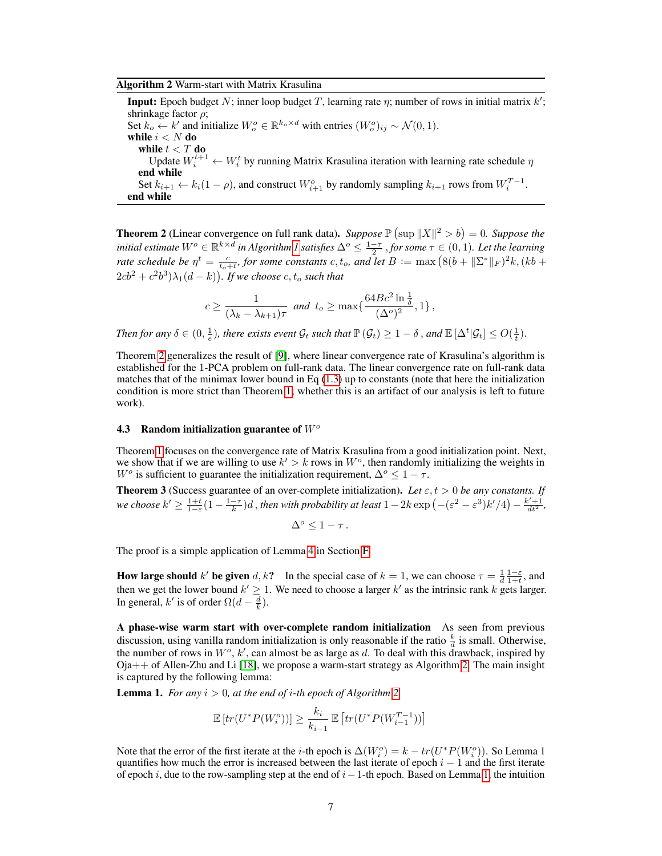#### <span id="page-6-2"></span>Algorithm 2 Warm-start with Matrix Krasulina

**Input:** Epoch budget N; inner loop budget T, learning rate  $\eta$ ; number of rows in initial matrix  $k'$ ; shrinkage factor  $\rho$ ; Set  $k_o \leftarrow k'$  and initialize  $W_o^o \in \mathbb{R}^{k_o \times d}$  with entries  $(W_o^o)_{ij} \sim \mathcal{N}(0, 1)$ . while  $i < N$  do while  $t < T$  do Update  $W_i^{t+1} \leftarrow W_i^t$  by running Matrix Krasulina iteration with learning rate schedule  $\eta$ end while Set  $k_{i+1} \leftarrow k_i(1-\rho)$ , and construct  $W_{i+1}^o$  by randomly sampling  $k_{i+1}$  rows from  $W_i^{T-1}$ . end while

<span id="page-6-0"></span>**Theorem 2** (Linear convergence on full rank data). *Suppose*  $\mathbb{P}(\sup ||X||^2 > b) = 0$ . *Suppose the initial estimate*  $W^o \in \mathbb{R}^{k \times d}$  *in Algorithm [1](#page-4-0) satisfies*  $\Delta^o \leq \frac{1-\tau}{2}$  *, for some*  $\tau \in (0,1)$ *. Let the learning rate schedule be*  $\eta^t = \frac{c}{t_o+t}$ , for some constants  $c, t_o$ , and let  $B := \max (8(b + ||\Sigma^*||_F)^2 k, (kb +$  $(2cb^2+c^2b^3)\lambda_1(d-k)$ ). If we choose  $c, t_o$  such that

$$
c \ge \frac{1}{(\lambda_k - \lambda_{k+1})\tau} \text{ and } t_o \ge \max\left\{\frac{64Bc^2\ln\frac{1}{\delta}}{(\Delta^o)^2}, 1\right\},\,
$$

Then for any  $\delta \in (0, \frac{1}{e})$ , there exists event  $\mathcal{G}_t$  such that  $\mathbb{P}(\mathcal{G}_t) \geq 1 - \delta$  , and  $\mathbb{E}[\Delta^t | \mathcal{G}_t] \leq O(\frac{1}{t})$ .

Theorem [2](#page-6-0) generalizes the result of [\[9\]](#page-9-7), where linear convergence rate of Krasulina's algorithm is established for the 1-PCA problem on full-rank data. The linear convergence rate on full-rank data matches that of the minimax lower bound in Eq [\(1.3\)](#page-1-0) up to constants (note that here the initialization condition is more strict than Theorem [1;](#page-5-1) whether this is an artifact of our analysis is left to future work).

## 4.3 Random initialization guarantee of  $W<sup>o</sup>$

Theorem [1](#page-5-1) focuses on the convergence rate of Matrix Krasulina from a good initialization point. Next, we show that if we are willing to use  $k' > k$  rows in  $W<sup>o</sup>$ , then randomly initializing the weights in W<sup>o</sup> is sufficient to guarantee the initialization requirement,  $\Delta^{\circ} \leq 1 - \tau$ .

<span id="page-6-1"></span>**Theorem 3** (Success guarantee of an over-complete initialization). Let  $\varepsilon$ ,  $t > 0$  be any constants. If *we choose*  $k' \ge \frac{1+t}{1-\varepsilon}(1-\frac{1-\tau}{k})d$ , *then with probability at least*  $1-2k \exp\left(-(\varepsilon^2-\varepsilon^3)k'/4\right)-\frac{k'+1}{dt^2}$ ,

$$
\Delta^o \leq 1 - \tau \, .
$$

The proof is a simple application of Lemma [4](#page-0-2) in Section [F.](#page-0-2)

How large should k' be given d, k? In the special case of  $k = 1$ , we can choose  $\tau = \frac{1}{d} \frac{1-\epsilon}{1+t}$ , and then we get the lower bound  $k' \geq 1$ . We need to choose a larger k' as the intrinsic rank k gets larger. In general, k' is of order  $\Omega(d - \frac{d}{k})$ .

A phase-wise warm start with over-complete random initialization As seen from previous discussion, using vanilla random initialization is only reasonable if the ratio  $\frac{k}{d}$  is small. Otherwise, the number of rows in  $W^o$ , k', can almost be as large as d. To deal with this drawback, inspired by Oja++ of Allen-Zhu and Li [\[18\]](#page-10-6), we propose a warm-start strategy as Algorithm [2.](#page-6-2) The main insight is captured by the following lemma:

<span id="page-6-3"></span>**Lemma 1.** For any  $i > 0$ , at the end of i-th epoch of Algorithm [2,](#page-6-2)

$$
\mathbb{E}\left[tr(U^*P(W_i^o))\right] \ge \frac{k_i}{k_{i-1}} \mathbb{E}\left[tr(U^*P(W_{i-1}^{T-1}))\right]
$$

Note that the error of the first iterate at the *i*-th epoch is  $\Delta(W_i^o) = k - tr(U^*P(W_i^o))$ . So Lemma 1 quantifies how much the error is increased between the last iterate of epoch  $i - 1$  and the first iterate of epoch i, due to the row-sampling step at the end of  $i-1$ -th epoch. Based on Lemma [1,](#page-6-3) the intuition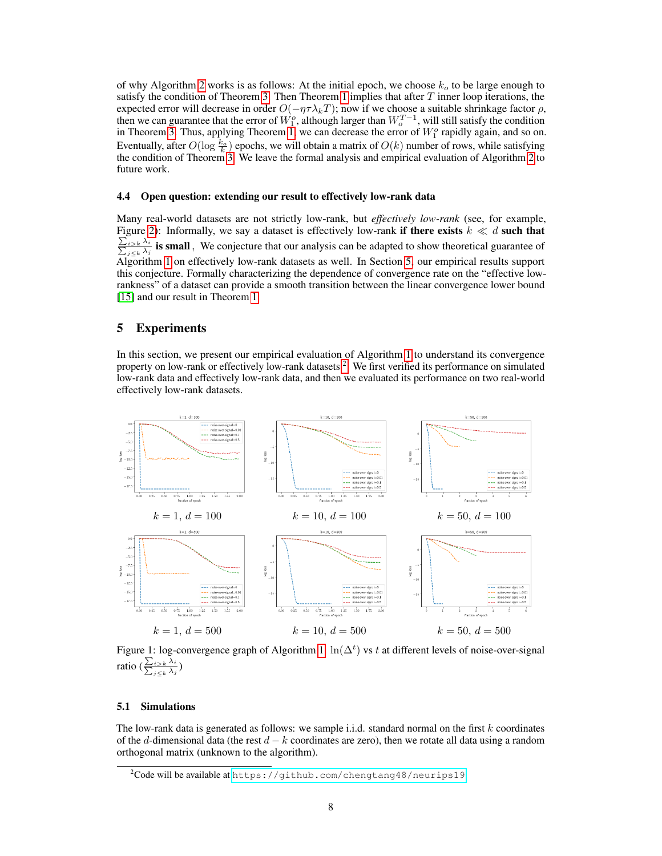of why Algorithm [2](#page-6-2) works is as follows: At the initial epoch, we choose  $k_o$  to be large enough to satisfy the condition of Theorem [3.](#page-6-1) Then Theorem [1](#page-5-1) implies that after  $T$  inner loop iterations, the expected error will decrease in order  $O(-\eta \tau \lambda_k T)$ ; now if we choose a suitable shrinkage factor  $\rho$ , then we can guarantee that the error of  $W_1^o$ , although larger than  $W_0^{T-1}$ , will still satisfy the condition in Theorem [3.](#page-6-1) Thus, applying Theorem [1,](#page-5-1) we can decrease the error of  $W_1^o$  rapidly again, and so on. Eventually, after  $O(\log \frac{k_o}{k})$  epochs, we will obtain a matrix of  $O(k)$  number of rows, while satisfying the condition of Theorem [3.](#page-6-1) We leave the formal analysis and empirical evaluation of Algorithm [2](#page-6-2) to future work.

#### 4.4 Open question: extending our result to effectively low-rank data

Many real-world datasets are not strictly low-rank, but *effectively low-rank* (see, for example, Figure [2\)](#page-8-0): Informally, we say a dataset is effectively low-rank if there exists  $k \ll d$  such that  $\frac{\sum_{i>k}\lambda_i}{\sum_{j\leq k}\lambda_j}$  is small, We conjecture that our analysis can be adapted to show theoretical guarantee of Algorithm [1](#page-4-0) on effectively low-rank datasets as well. In Section [5,](#page-7-0) our empirical results support this conjecture. Formally characterizing the dependence of convergence rate on the "effective lowrankness" of a dataset can provide a smooth transition between the linear convergence lower bound [\[15\]](#page-10-3) and our result in Theorem [1.](#page-5-1)

# <span id="page-7-0"></span>5 Experiments

In this section, we present our empirical evaluation of Algorithm [1](#page-4-0) to understand its convergence property on low-rank or effectively low-rank datasets<sup>[2](#page-7-1)</sup>. We first verified its performance on simulated low-rank data and effectively low-rank data, and then we evaluated its performance on two real-world effectively low-rank datasets.

<span id="page-7-2"></span>

Figure [1:](#page-4-0) log-convergence graph of Algorithm 1:  $\ln(\Delta^t)$  vs t at different levels of noise-over-signal ratio ( $\frac{\sum_{i>k} \lambda_i}{\sum_{i \leq k} \lambda_i}$  $j< k \lambda_j$ )

#### 5.1 Simulations

The low-rank data is generated as follows: we sample i.i.d. standard normal on the first k coordinates of the d-dimensional data (the rest  $d - k$  coordinates are zero), then we rotate all data using a random orthogonal matrix (unknown to the algorithm).

<span id="page-7-1"></span> $2C$ ode will be available at <https://github.com/chengtang48/neurips19>.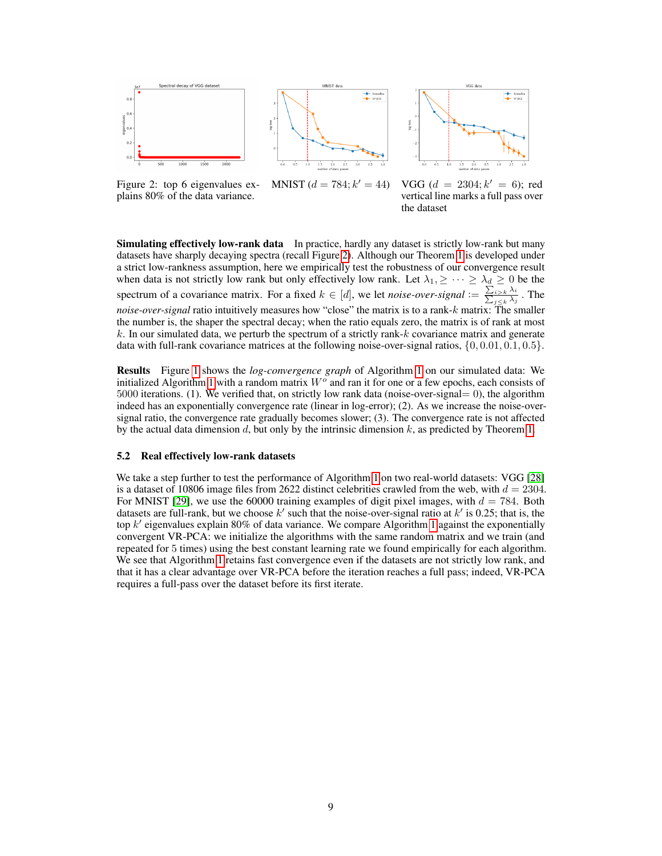<span id="page-8-0"></span>



Figure 2: top 6 eigenvalues explains 80% of the data variance. MNIST  $(d = 784; k' = 44)$ 

 $0' = 44$ ) VGG ( $d = 2304; k' = 6$ ); red vertical line marks a full pass over the dataset

Simulating effectively low-rank data In practice, hardly any dataset is strictly low-rank but many datasets have sharply decaying spectra (recall Figure [2\)](#page-8-0). Although our Theorem [1](#page-5-1) is developed under a strict low-rankness assumption, here we empirically test the robustness of our convergence result when data is not strictly low rank but only effectively low rank. Let  $\lambda_1, \geq \cdots \geq \lambda_d \geq 0$  be the spectrum of a covariance matrix. For a fixed  $k \in [d]$ , we let *noise-over-signal*  $:= \frac{\sum_{i>k} \lambda_i}{\sum_{j \leq k} \lambda_j}$ . The *noise-over-signal* ratio intuitively measures how "close" the matrix is to a rank-k matrix: The smaller the number is, the shaper the spectral decay; when the ratio equals zero, the matrix is of rank at most  $k$ . In our simulated data, we perturb the spectrum of a strictly rank- $k$  covariance matrix and generate data with full-rank covariance matrices at the following noise-over-signal ratios,  $\{0, 0.01, 0.1, 0.5\}$ .

Results Figure [1](#page-7-2) shows the *log-convergence graph* of Algorithm [1](#page-4-0) on our simulated data: We initialized Algorithm [1](#page-4-0) with a random matrix  $W<sup>o</sup>$  and ran it for one or a few epochs, each consists of 5000 iterations. (1). We verified that, on strictly low rank data (noise-over-signal= 0), the algorithm indeed has an exponentially convergence rate (linear in log-error); (2). As we increase the noise-oversignal ratio, the convergence rate gradually becomes slower; (3). The convergence rate is not affected by the actual data dimension d, but only by the intrinsic dimension  $k$ , as predicted by Theorem [1.](#page-5-1)

## 5.2 Real effectively low-rank datasets

We take a step further to test the performance of Algorithm [1](#page-4-0) on two real-world datasets: VGG [\[28\]](#page-11-2) is a dataset of 10806 image files from 2622 distinct celebrities crawled from the web, with  $d = 2304$ . For MNIST [\[29\]](#page-11-3), we use the 60000 training examples of digit pixel images, with  $d = 784$ . Both datasets are full-rank, but we choose  $k'$  such that the noise-over-signal ratio at  $k'$  is 0.25; that is, the top  $k'$  eigenvalues explain 80% of data variance. We compare Algorithm [1](#page-4-0) against the exponentially convergent VR-PCA: we initialize the algorithms with the same random matrix and we train (and repeated for 5 times) using the best constant learning rate we found empirically for each algorithm. We see that Algorithm [1](#page-4-0) retains fast convergence even if the datasets are not strictly low rank, and that it has a clear advantage over VR-PCA before the iteration reaches a full pass; indeed, VR-PCA requires a full-pass over the dataset before its first iterate.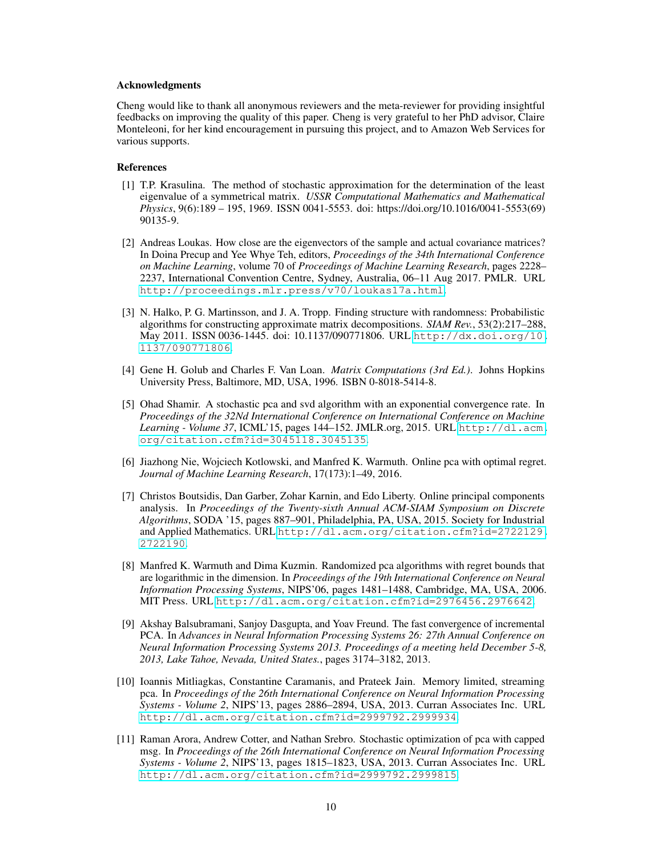#### Acknowledgments

Cheng would like to thank all anonymous reviewers and the meta-reviewer for providing insightful feedbacks on improving the quality of this paper. Cheng is very grateful to her PhD advisor, Claire Monteleoni, for her kind encouragement in pursuing this project, and to Amazon Web Services for various supports.

#### References

- <span id="page-9-0"></span>[1] T.P. Krasulina. The method of stochastic approximation for the determination of the least eigenvalue of a symmetrical matrix. *USSR Computational Mathematics and Mathematical Physics*, 9(6):189 – 195, 1969. ISSN 0041-5553. doi: https://doi.org/10.1016/0041-5553(69) 90135-9.
- <span id="page-9-1"></span>[2] Andreas Loukas. How close are the eigenvectors of the sample and actual covariance matrices? In Doina Precup and Yee Whye Teh, editors, *Proceedings of the 34th International Conference on Machine Learning*, volume 70 of *Proceedings of Machine Learning Research*, pages 2228– 2237, International Convention Centre, Sydney, Australia, 06–11 Aug 2017. PMLR. URL <http://proceedings.mlr.press/v70/loukas17a.html>.
- <span id="page-9-2"></span>[3] N. Halko, P. G. Martinsson, and J. A. Tropp. Finding structure with randomness: Probabilistic algorithms for constructing approximate matrix decompositions. *SIAM Rev.*, 53(2):217–288, May 2011. ISSN 0036-1445. doi: 10.1137/090771806. URL [http://dx.doi.org/10.](http://dx.doi.org/10.1137/090771806) [1137/090771806](http://dx.doi.org/10.1137/090771806).
- <span id="page-9-3"></span>[4] Gene H. Golub and Charles F. Van Loan. *Matrix Computations (3rd Ed.)*. Johns Hopkins University Press, Baltimore, MD, USA, 1996. ISBN 0-8018-5414-8.
- <span id="page-9-4"></span>[5] Ohad Shamir. A stochastic pca and svd algorithm with an exponential convergence rate. In *Proceedings of the 32Nd International Conference on International Conference on Machine Learning - Volume 37*, ICML'15, pages 144–152. JMLR.org, 2015. URL [http://dl.acm.](http://dl.acm.org/citation.cfm?id=3045118.3045135) [org/citation.cfm?id=3045118.3045135](http://dl.acm.org/citation.cfm?id=3045118.3045135).
- <span id="page-9-5"></span>[6] Jiazhong Nie, Wojciech Kotlowski, and Manfred K. Warmuth. Online pca with optimal regret. *Journal of Machine Learning Research*, 17(173):1–49, 2016.
- [7] Christos Boutsidis, Dan Garber, Zohar Karnin, and Edo Liberty. Online principal components analysis. In *Proceedings of the Twenty-sixth Annual ACM-SIAM Symposium on Discrete Algorithms*, SODA '15, pages 887–901, Philadelphia, PA, USA, 2015. Society for Industrial and Applied Mathematics. URL [http://dl.acm.org/citation.cfm?id=2722129.](http://dl.acm.org/citation.cfm?id=2722129.2722190) [2722190](http://dl.acm.org/citation.cfm?id=2722129.2722190).
- <span id="page-9-6"></span>[8] Manfred K. Warmuth and Dima Kuzmin. Randomized pca algorithms with regret bounds that are logarithmic in the dimension. In *Proceedings of the 19th International Conference on Neural Information Processing Systems*, NIPS'06, pages 1481–1488, Cambridge, MA, USA, 2006. MIT Press. URL <http://dl.acm.org/citation.cfm?id=2976456.2976642>.
- <span id="page-9-7"></span>[9] Akshay Balsubramani, Sanjoy Dasgupta, and Yoav Freund. The fast convergence of incremental PCA. In *Advances in Neural Information Processing Systems 26: 27th Annual Conference on Neural Information Processing Systems 2013. Proceedings of a meeting held December 5-8, 2013, Lake Tahoe, Nevada, United States.*, pages 3174–3182, 2013.
- [10] Ioannis Mitliagkas, Constantine Caramanis, and Prateek Jain. Memory limited, streaming pca. In *Proceedings of the 26th International Conference on Neural Information Processing Systems - Volume 2*, NIPS'13, pages 2886–2894, USA, 2013. Curran Associates Inc. URL <http://dl.acm.org/citation.cfm?id=2999792.2999934>.
- <span id="page-9-8"></span>[11] Raman Arora, Andrew Cotter, and Nathan Srebro. Stochastic optimization of pca with capped msg. In *Proceedings of the 26th International Conference on Neural Information Processing Systems - Volume 2*, NIPS'13, pages 1815–1823, USA, 2013. Curran Associates Inc. URL <http://dl.acm.org/citation.cfm?id=2999792.2999815>.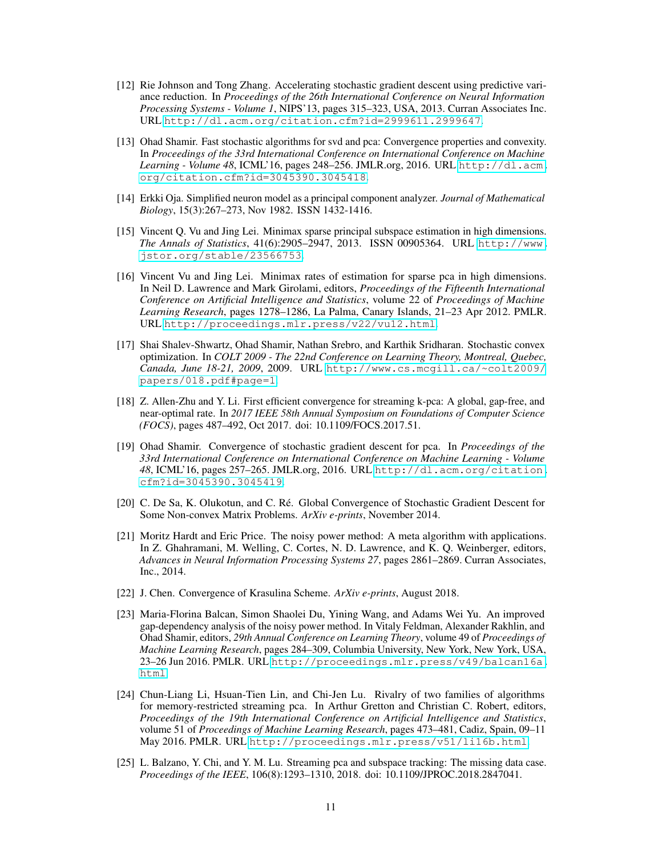- <span id="page-10-0"></span>[12] Rie Johnson and Tong Zhang. Accelerating stochastic gradient descent using predictive variance reduction. In *Proceedings of the 26th International Conference on Neural Information Processing Systems - Volume 1*, NIPS'13, pages 315–323, USA, 2013. Curran Associates Inc. URL <http://dl.acm.org/citation.cfm?id=2999611.2999647>.
- <span id="page-10-1"></span>[13] Ohad Shamir. Fast stochastic algorithms for svd and pca: Convergence properties and convexity. In *Proceedings of the 33rd International Conference on International Conference on Machine Learning - Volume 48*, ICML'16, pages 248–256. JMLR.org, 2016. URL [http://dl.acm.](http://dl.acm.org/citation.cfm?id=3045390.3045418) [org/citation.cfm?id=3045390.3045418](http://dl.acm.org/citation.cfm?id=3045390.3045418).
- <span id="page-10-2"></span>[14] Erkki Oja. Simplified neuron model as a principal component analyzer. *Journal of Mathematical Biology*, 15(3):267–273, Nov 1982. ISSN 1432-1416.
- <span id="page-10-3"></span>[15] Vincent Q. Vu and Jing Lei. Minimax sparse principal subspace estimation in high dimensions. *The Annals of Statistics*, 41(6):2905–2947, 2013. ISSN 00905364. URL [http://www.](http://www.jstor.org/stable/23566753) [jstor.org/stable/23566753](http://www.jstor.org/stable/23566753).
- <span id="page-10-4"></span>[16] Vincent Vu and Jing Lei. Minimax rates of estimation for sparse pca in high dimensions. In Neil D. Lawrence and Mark Girolami, editors, *Proceedings of the Fifteenth International Conference on Artificial Intelligence and Statistics*, volume 22 of *Proceedings of Machine Learning Research*, pages 1278–1286, La Palma, Canary Islands, 21–23 Apr 2012. PMLR. URL <http://proceedings.mlr.press/v22/vu12.html>.
- <span id="page-10-5"></span>[17] Shai Shalev-Shwartz, Ohad Shamir, Nathan Srebro, and Karthik Sridharan. Stochastic convex optimization. In *COLT 2009 - The 22nd Conference on Learning Theory, Montreal, Quebec, Canada, June 18-21, 2009*, 2009. URL [http://www.cs.mcgill.ca/~colt2009/](http://www.cs.mcgill.ca/~colt2009/papers/018.pdf#page=1) [papers/018.pdf#page=1](http://www.cs.mcgill.ca/~colt2009/papers/018.pdf#page=1).
- <span id="page-10-6"></span>[18] Z. Allen-Zhu and Y. Li. First efficient convergence for streaming k-pca: A global, gap-free, and near-optimal rate. In *2017 IEEE 58th Annual Symposium on Foundations of Computer Science (FOCS)*, pages 487–492, Oct 2017. doi: 10.1109/FOCS.2017.51.
- <span id="page-10-7"></span>[19] Ohad Shamir. Convergence of stochastic gradient descent for pca. In *Proceedings of the 33rd International Conference on International Conference on Machine Learning - Volume 48*, ICML'16, pages 257–265. JMLR.org, 2016. URL [http://dl.acm.org/citation.](http://dl.acm.org/citation.cfm?id=3045390.3045419) [cfm?id=3045390.3045419](http://dl.acm.org/citation.cfm?id=3045390.3045419).
- <span id="page-10-8"></span>[20] C. De Sa, K. Olukotun, and C. Ré. Global Convergence of Stochastic Gradient Descent for Some Non-convex Matrix Problems. *ArXiv e-prints*, November 2014.
- <span id="page-10-9"></span>[21] Moritz Hardt and Eric Price. The noisy power method: A meta algorithm with applications. In Z. Ghahramani, M. Welling, C. Cortes, N. D. Lawrence, and K. Q. Weinberger, editors, *Advances in Neural Information Processing Systems 27*, pages 2861–2869. Curran Associates, Inc., 2014.
- <span id="page-10-10"></span>[22] J. Chen. Convergence of Krasulina Scheme. *ArXiv e-prints*, August 2018.
- <span id="page-10-11"></span>[23] Maria-Florina Balcan, Simon Shaolei Du, Yining Wang, and Adams Wei Yu. An improved gap-dependency analysis of the noisy power method. In Vitaly Feldman, Alexander Rakhlin, and Ohad Shamir, editors, *29th Annual Conference on Learning Theory*, volume 49 of *Proceedings of Machine Learning Research*, pages 284–309, Columbia University, New York, New York, USA, 23–26 Jun 2016. PMLR. URL [http://proceedings.mlr.press/v49/balcan16a.](http://proceedings.mlr.press/v49/balcan16a.html) [html](http://proceedings.mlr.press/v49/balcan16a.html).
- <span id="page-10-12"></span>[24] Chun-Liang Li, Hsuan-Tien Lin, and Chi-Jen Lu. Rivalry of two families of algorithms for memory-restricted streaming pca. In Arthur Gretton and Christian C. Robert, editors, *Proceedings of the 19th International Conference on Artificial Intelligence and Statistics*, volume 51 of *Proceedings of Machine Learning Research*, pages 473–481, Cadiz, Spain, 09–11 May 2016. PMLR. URL <http://proceedings.mlr.press/v51/li16b.html>.
- <span id="page-10-13"></span>[25] L. Balzano, Y. Chi, and Y. M. Lu. Streaming pca and subspace tracking: The missing data case. *Proceedings of the IEEE*, 106(8):1293–1310, 2018. doi: 10.1109/JPROC.2018.2847041.